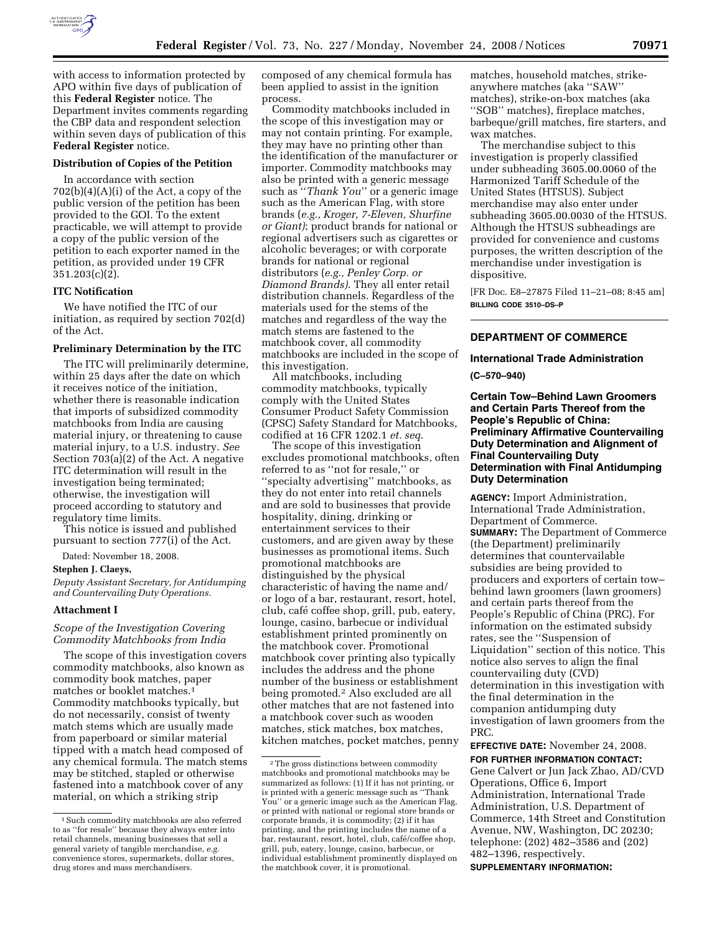

with access to information protected by APO within five days of publication of this **Federal Register** notice. The Department invites comments regarding the CBP data and respondent selection within seven days of publication of this **Federal Register** notice.

## **Distribution of Copies of the Petition**

In accordance with section  $702(b)(4)(A)(i)$  of the Act, a copy of the public version of the petition has been provided to the GOI. To the extent practicable, we will attempt to provide a copy of the public version of the petition to each exporter named in the petition, as provided under 19 CFR 351.203(c)(2).

#### **ITC Notification**

We have notified the ITC of our initiation, as required by section 702(d) of the Act.

# **Preliminary Determination by the ITC**

The ITC will preliminarily determine, within 25 days after the date on which it receives notice of the initiation, whether there is reasonable indication that imports of subsidized commodity matchbooks from India are causing material injury, or threatening to cause material injury, to a U.S. industry. *See*  Section 703(a)(2) of the Act. A negative ITC determination will result in the investigation being terminated; otherwise, the investigation will proceed according to statutory and regulatory time limits.

This notice is issued and published pursuant to section 777(i) of the Act.

Dated: November 18, 2008.

#### **Stephen J. Claeys,**

*Deputy Assistant Secretary, for Antidumping and Countervailing Duty Operations.* 

#### **Attachment I**

# *Scope of the Investigation Covering Commodity Matchbooks from India*

The scope of this investigation covers commodity matchbooks, also known as commodity book matches, paper matches or booklet matches.1 Commodity matchbooks typically, but do not necessarily, consist of twenty match stems which are usually made from paperboard or similar material tipped with a match head composed of any chemical formula. The match stems may be stitched, stapled or otherwise fastened into a matchbook cover of any material, on which a striking strip

composed of any chemical formula has been applied to assist in the ignition process.

Commodity matchbooks included in the scope of this investigation may or may not contain printing. For example, they may have no printing other than the identification of the manufacturer or importer. Commodity matchbooks may also be printed with a generic message such as ''*Thank You*'' or a generic image such as the American Flag, with store brands (*e.g., Kroger, 7-Eleven, Shurfine or Giant)*; product brands for national or regional advertisers such as cigarettes or alcoholic beverages; or with corporate brands for national or regional distributors (*e.g., Penley Corp. or Diamond Brands)*. They all enter retail distribution channels. Regardless of the materials used for the stems of the matches and regardless of the way the match stems are fastened to the matchbook cover, all commodity matchbooks are included in the scope of this investigation.

All matchbooks, including commodity matchbooks, typically comply with the United States Consumer Product Safety Commission (CPSC) Safety Standard for Matchbooks, codified at 16 CFR 1202.1 *et. seq*.

The scope of this investigation excludes promotional matchbooks, often referred to as ''not for resale,'' or ''specialty advertising'' matchbooks, as they do not enter into retail channels and are sold to businesses that provide hospitality, dining, drinking or entertainment services to their customers, and are given away by these businesses as promotional items. Such promotional matchbooks are distinguished by the physical characteristic of having the name and/ or logo of a bar, restaurant, resort, hotel, club, café coffee shop, grill, pub, eatery, lounge, casino, barbecue or individual establishment printed prominently on the matchbook cover. Promotional matchbook cover printing also typically includes the address and the phone number of the business or establishment being promoted.2 Also excluded are all other matches that are not fastened into a matchbook cover such as wooden matches, stick matches, box matches, kitchen matches, pocket matches, penny

matches, household matches, strikeanywhere matches (aka ''SAW'' matches), strike-on-box matches (aka ''SOB'' matches), fireplace matches, barbeque/grill matches, fire starters, and wax matches.

The merchandise subject to this investigation is properly classified under subheading 3605.00.0060 of the Harmonized Tariff Schedule of the United States (HTSUS). Subject merchandise may also enter under subheading 3605.00.0030 of the HTSUS. Although the HTSUS subheadings are provided for convenience and customs purposes, the written description of the merchandise under investigation is dispositive.

[FR Doc. E8–27875 Filed 11–21–08; 8:45 am] **BILLING CODE 3510–DS–P** 

# **DEPARTMENT OF COMMERCE**

## **International Trade Administration**

**(C–570–940)** 

**Certain Tow–Behind Lawn Groomers and Certain Parts Thereof from the People's Republic of China: Preliminary Affirmative Countervailing Duty Determination and Alignment of Final Countervailing Duty Determination with Final Antidumping Duty Determination** 

**AGENCY:** Import Administration, International Trade Administration, Department of Commerce. **SUMMARY:** The Department of Commerce (the Department) preliminarily determines that countervailable subsidies are being provided to producers and exporters of certain tow– behind lawn groomers (lawn groomers) and certain parts thereof from the People's Republic of China (PRC). For information on the estimated subsidy rates, see the ''Suspension of Liquidation'' section of this notice. This notice also serves to align the final countervailing duty (CVD) determination in this investigation with the final determination in the companion antidumping duty investigation of lawn groomers from the PRC.

# **EFFECTIVE DATE:** November 24, 2008. **FOR FURTHER INFORMATION CONTACT:**

Gene Calvert or Jun Jack Zhao, AD/CVD Operations, Office 6, Import Administration, International Trade Administration, U.S. Department of Commerce, 14th Street and Constitution Avenue, NW, Washington, DC 20230; telephone: (202) 482–3586 and (202) 482–1396, respectively.

**SUPPLEMENTARY INFORMATION:** 

<sup>&</sup>lt;sup>1</sup> Such commodity matchbooks are also referred to as ''for resale'' because they always enter into retail channels, meaning businesses that sell a general variety of tangible merchandise, *e.g.*  convenience stores, supermarkets, dollar stores, drug stores and mass merchandisers.

 $\sqrt[2]{2}$  The gross distinctions between commodity matchbooks and promotional matchbooks may be summarized as follows: (1) If it has not printing, or is printed with a generic message such as ''Thank You'' or a generic image such as the American Flag, or printed with national or regional store brands or corporate brands, it is commodity; (2) if it has printing, and the printing includes the name of a bar, restaurant, resort, hotel, club, café/coffee shop, grill, pub, eatery, lounge, casino, barbecue, or individual establishment prominently displayed on the matchbook cover, it is promotional.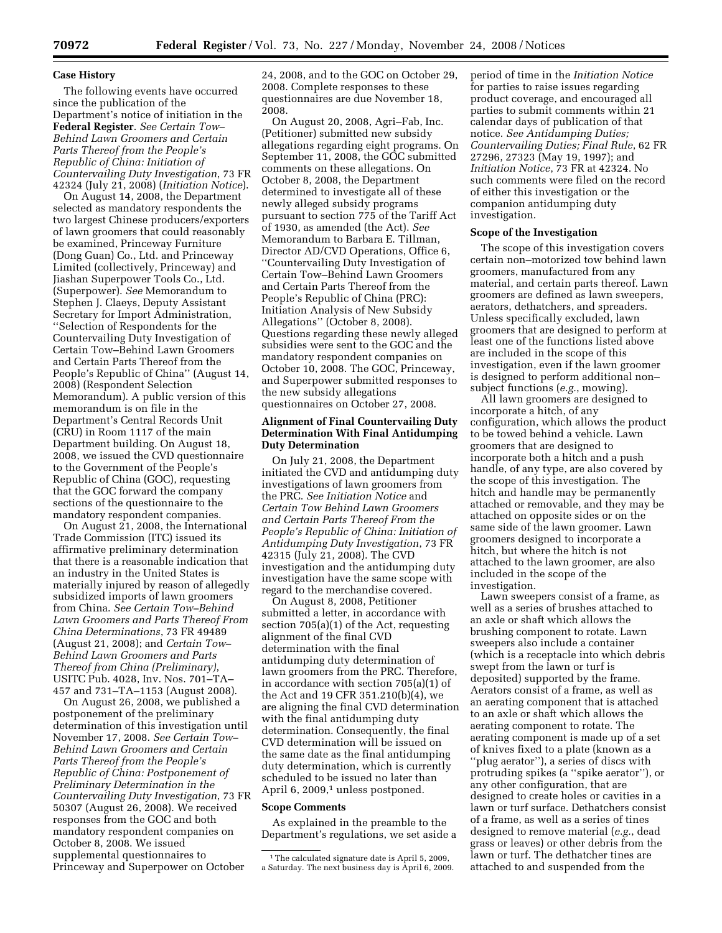## **Case History**

The following events have occurred since the publication of the Department's notice of initiation in the **Federal Register**. *See Certain Tow– Behind Lawn Groomers and Certain Parts Thereof from the People's Republic of China: Initiation of Countervailing Duty Investigation*, 73 FR 42324 (July 21, 2008) (*Initiation Notice*).

On August 14, 2008, the Department selected as mandatory respondents the two largest Chinese producers/exporters of lawn groomers that could reasonably be examined, Princeway Furniture (Dong Guan) Co., Ltd. and Princeway Limited (collectively, Princeway) and Jiashan Superpower Tools Co., Ltd. (Superpower). *See* Memorandum to Stephen J. Claeys, Deputy Assistant Secretary for Import Administration, ''Selection of Respondents for the Countervailing Duty Investigation of Certain Tow–Behind Lawn Groomers and Certain Parts Thereof from the People's Republic of China'' (August 14, 2008) (Respondent Selection Memorandum). A public version of this memorandum is on file in the Department's Central Records Unit (CRU) in Room 1117 of the main Department building. On August 18, 2008, we issued the CVD questionnaire to the Government of the People's Republic of China (GOC), requesting that the GOC forward the company sections of the questionnaire to the mandatory respondent companies.

On August 21, 2008, the International Trade Commission (ITC) issued its affirmative preliminary determination that there is a reasonable indication that an industry in the United States is materially injured by reason of allegedly subsidized imports of lawn groomers from China. *See Certain Tow–Behind Lawn Groomers and Parts Thereof From China Determinations*, 73 FR 49489 (August 21, 2008); and *Certain Tow– Behind Lawn Groomers and Parts Thereof from China (Preliminary)*, USITC Pub. 4028, Inv. Nos. 701–TA– 457 and 731–TA–1153 (August 2008).

On August 26, 2008, we published a postponement of the preliminary determination of this investigation until November 17, 2008. *See Certain Tow– Behind Lawn Groomers and Certain Parts Thereof from the People's Republic of China: Postponement of Preliminary Determination in the Countervailing Duty Investigation*, 73 FR 50307 (August 26, 2008). We received responses from the GOC and both mandatory respondent companies on October 8, 2008. We issued supplemental questionnaires to Princeway and Superpower on October

24, 2008, and to the GOC on October 29, 2008. Complete responses to these questionnaires are due November 18, 2008.

On August 20, 2008, Agri–Fab, Inc. (Petitioner) submitted new subsidy allegations regarding eight programs. On September 11, 2008, the GOC submitted comments on these allegations. On October 8, 2008, the Department determined to investigate all of these newly alleged subsidy programs pursuant to section 775 of the Tariff Act of 1930, as amended (the Act). *See*  Memorandum to Barbara E. Tillman, Director AD/CVD Operations, Office 6, ''Countervailing Duty Investigation of Certain Tow–Behind Lawn Groomers and Certain Parts Thereof from the People's Republic of China (PRC): Initiation Analysis of New Subsidy Allegations'' (October 8, 2008). Questions regarding these newly alleged subsidies were sent to the GOC and the mandatory respondent companies on October 10, 2008. The GOC, Princeway, and Superpower submitted responses to the new subsidy allegations questionnaires on October 27, 2008.

#### **Alignment of Final Countervailing Duty Determination With Final Antidumping Duty Determination**

On July 21, 2008, the Department initiated the CVD and antidumping duty investigations of lawn groomers from the PRC. *See Initiation Notice* and *Certain Tow Behind Lawn Groomers and Certain Parts Thereof From the People's Republic of China: Initiation of Antidumping Duty Investigation*, 73 FR 42315 (July 21, 2008). The CVD investigation and the antidumping duty investigation have the same scope with regard to the merchandise covered.

On August 8, 2008, Petitioner submitted a letter, in accordance with section 705(a)(1) of the Act, requesting alignment of the final CVD determination with the final antidumping duty determination of lawn groomers from the PRC. Therefore, in accordance with section 705(a)(1) of the Act and 19 CFR 351.210(b)(4), we are aligning the final CVD determination with the final antidumping duty determination. Consequently, the final CVD determination will be issued on the same date as the final antidumping duty determination, which is currently scheduled to be issued no later than April 6, 2009,<sup>1</sup> unless postponed.

## **Scope Comments**

As explained in the preamble to the Department's regulations, we set aside a

period of time in the *Initiation Notice*  for parties to raise issues regarding product coverage, and encouraged all parties to submit comments within 21 calendar days of publication of that notice. *See Antidumping Duties; Countervailing Duties; Final Rule*, 62 FR 27296, 27323 (May 19, 1997); and *Initiation Notice*, 73 FR at 42324. No such comments were filed on the record of either this investigation or the companion antidumping duty investigation.

#### **Scope of the Investigation**

The scope of this investigation covers certain non–motorized tow behind lawn groomers, manufactured from any material, and certain parts thereof. Lawn groomers are defined as lawn sweepers, aerators, dethatchers, and spreaders. Unless specifically excluded, lawn groomers that are designed to perform at least one of the functions listed above are included in the scope of this investigation, even if the lawn groomer is designed to perform additional non– subject functions (*e.g.*, mowing).

All lawn groomers are designed to incorporate a hitch, of any configuration, which allows the product to be towed behind a vehicle. Lawn groomers that are designed to incorporate both a hitch and a push handle, of any type, are also covered by the scope of this investigation. The hitch and handle may be permanently attached or removable, and they may be attached on opposite sides or on the same side of the lawn groomer. Lawn groomers designed to incorporate a hitch, but where the hitch is not attached to the lawn groomer, are also included in the scope of the investigation.

Lawn sweepers consist of a frame, as well as a series of brushes attached to an axle or shaft which allows the brushing component to rotate. Lawn sweepers also include a container (which is a receptacle into which debris swept from the lawn or turf is deposited) supported by the frame. Aerators consist of a frame, as well as an aerating component that is attached to an axle or shaft which allows the aerating component to rotate. The aerating component is made up of a set of knives fixed to a plate (known as a ''plug aerator''), a series of discs with protruding spikes (a ''spike aerator''), or any other configuration, that are designed to create holes or cavities in a lawn or turf surface. Dethatchers consist of a frame, as well as a series of tines designed to remove material (*e.g.*, dead grass or leaves) or other debris from the lawn or turf. The dethatcher tines are attached to and suspended from the

<sup>&</sup>lt;sup>1</sup>The calculated signature date is April 5, 2009, a Saturday. The next business day is April 6, 2009.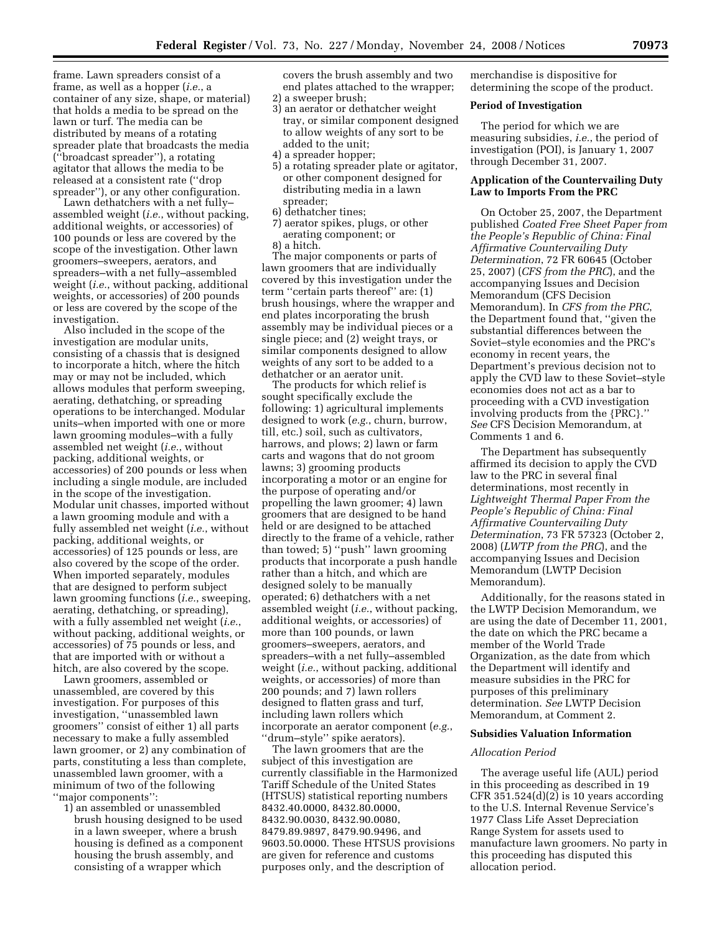frame. Lawn spreaders consist of a frame, as well as a hopper (*i.e.*, a container of any size, shape, or material) that holds a media to be spread on the lawn or turf. The media can be distributed by means of a rotating spreader plate that broadcasts the media (''broadcast spreader''), a rotating agitator that allows the media to be released at a consistent rate (''drop spreader''), or any other configuration.

Lawn dethatchers with a net fully– assembled weight (*i.e.*, without packing, additional weights, or accessories) of 100 pounds or less are covered by the scope of the investigation. Other lawn groomers–sweepers, aerators, and spreaders–with a net fully–assembled weight (*i.e.*, without packing, additional weights, or accessories) of 200 pounds or less are covered by the scope of the investigation.

Also included in the scope of the investigation are modular units, consisting of a chassis that is designed to incorporate a hitch, where the hitch may or may not be included, which allows modules that perform sweeping, aerating, dethatching, or spreading operations to be interchanged. Modular units–when imported with one or more lawn grooming modules–with a fully assembled net weight (*i.e.*, without packing, additional weights, or accessories) of 200 pounds or less when including a single module, are included in the scope of the investigation. Modular unit chasses, imported without a lawn grooming module and with a fully assembled net weight (*i.e.*, without packing, additional weights, or accessories) of 125 pounds or less, are also covered by the scope of the order. When imported separately, modules that are designed to perform subject lawn grooming functions (*i.e.*, sweeping, aerating, dethatching, or spreading), with a fully assembled net weight (*i.e.*, without packing, additional weights, or accessories) of 75 pounds or less, and that are imported with or without a hitch, are also covered by the scope.

Lawn groomers, assembled or unassembled, are covered by this investigation. For purposes of this investigation, ''unassembled lawn groomers'' consist of either 1) all parts necessary to make a fully assembled lawn groomer, or 2) any combination of parts, constituting a less than complete, unassembled lawn groomer, with a minimum of two of the following ''major components'':

1) an assembled or unassembled brush housing designed to be used in a lawn sweeper, where a brush housing is defined as a component housing the brush assembly, and consisting of a wrapper which

covers the brush assembly and two end plates attached to the wrapper;

- 2) a sweeper brush;
- 3) an aerator or dethatcher weight tray, or similar component designed to allow weights of any sort to be added to the unit;
- 4) a spreader hopper;
- 5) a rotating spreader plate or agitator, or other component designed for distributing media in a lawn spreader;
- 6) dethatcher tines;
- 7) aerator spikes, plugs, or other aerating component; or 8) a hitch.

The major components or parts of lawn groomers that are individually covered by this investigation under the term ''certain parts thereof'' are: (1) brush housings, where the wrapper and end plates incorporating the brush assembly may be individual pieces or a single piece; and (2) weight trays, or similar components designed to allow weights of any sort to be added to a dethatcher or an aerator unit.

The products for which relief is sought specifically exclude the following: 1) agricultural implements designed to work (*e.g.*, churn, burrow, till, etc.) soil, such as cultivators, harrows, and plows; 2) lawn or farm carts and wagons that do not groom lawns; 3) grooming products incorporating a motor or an engine for the purpose of operating and/or propelling the lawn groomer; 4) lawn groomers that are designed to be hand held or are designed to be attached directly to the frame of a vehicle, rather than towed; 5) ''push'' lawn grooming products that incorporate a push handle rather than a hitch, and which are designed solely to be manually operated; 6) dethatchers with a net assembled weight (*i.e.*, without packing, additional weights, or accessories) of more than 100 pounds, or lawn groomers–sweepers, aerators, and spreaders–with a net fully–assembled weight (*i.e.*, without packing, additional weights, or accessories) of more than 200 pounds; and 7) lawn rollers designed to flatten grass and turf, including lawn rollers which incorporate an aerator component (*e.g.*, ''drum–style'' spike aerators).

The lawn groomers that are the subject of this investigation are currently classifiable in the Harmonized Tariff Schedule of the United States (HTSUS) statistical reporting numbers 8432.40.0000, 8432.80.0000, 8432.90.0030, 8432.90.0080, 8479.89.9897, 8479.90.9496, and 9603.50.0000. These HTSUS provisions are given for reference and customs purposes only, and the description of

merchandise is dispositive for determining the scope of the product.

#### **Period of Investigation**

The period for which we are measuring subsidies, *i.e.*, the period of investigation (POI), is January 1, 2007 through December 31, 2007.

# **Application of the Countervailing Duty Law to Imports From the PRC**

On October 25, 2007, the Department published *Coated Free Sheet Paper from the People's Republic of China: Final Affirmative Countervailing Duty Determination*, 72 FR 60645 (October 25, 2007) (*CFS from the PRC*), and the accompanying Issues and Decision Memorandum (CFS Decision Memorandum). In *CFS from the PRC*, the Department found that, ''given the substantial differences between the Soviet–style economies and the PRC's economy in recent years, the Department's previous decision not to apply the CVD law to these Soviet–style economies does not act as a bar to proceeding with a CVD investigation involving products from the {PRC}.'' *See* CFS Decision Memorandum, at Comments 1 and 6.

The Department has subsequently affirmed its decision to apply the CVD law to the PRC in several final determinations, most recently in *Lightweight Thermal Paper From the People's Republic of China: Final Affirmative Countervailing Duty Determination*, 73 FR 57323 (October 2, 2008) (*LWTP from the PRC*), and the accompanying Issues and Decision Memorandum (LWTP Decision Memorandum).

Additionally, for the reasons stated in the LWTP Decision Memorandum, we are using the date of December 11, 2001, the date on which the PRC became a member of the World Trade Organization, as the date from which the Department will identify and measure subsidies in the PRC for purposes of this preliminary determination. *See* LWTP Decision Memorandum, at Comment 2.

### **Subsidies Valuation Information**

# *Allocation Period*

The average useful life (AUL) period in this proceeding as described in 19 CFR  $351.524(d)(2)$  is 10 years according to the U.S. Internal Revenue Service's 1977 Class Life Asset Depreciation Range System for assets used to manufacture lawn groomers. No party in this proceeding has disputed this allocation period.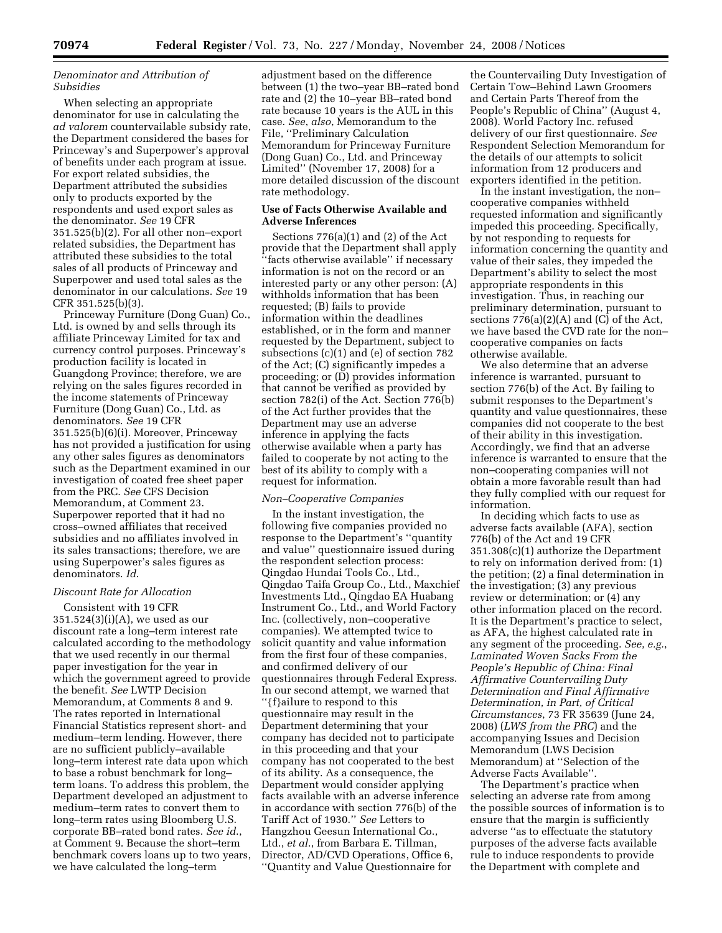# *Denominator and Attribution of Subsidies*

When selecting an appropriate denominator for use in calculating the *ad valorem* countervailable subsidy rate, the Department considered the bases for Princeway's and Superpower's approval of benefits under each program at issue. For export related subsidies, the Department attributed the subsidies only to products exported by the respondents and used export sales as the denominator. *See* 19 CFR 351.525(b)(2). For all other non–export related subsidies, the Department has attributed these subsidies to the total sales of all products of Princeway and Superpower and used total sales as the denominator in our calculations. *See* 19 CFR 351.525(b)(3).

Princeway Furniture (Dong Guan) Co., Ltd. is owned by and sells through its affiliate Princeway Limited for tax and currency control purposes. Princeway's production facility is located in Guangdong Province; therefore, we are relying on the sales figures recorded in the income statements of Princeway Furniture (Dong Guan) Co., Ltd. as denominators. *See* 19 CFR 351.525(b)(6)(i). Moreover, Princeway has not provided a justification for using any other sales figures as denominators such as the Department examined in our investigation of coated free sheet paper from the PRC. *See* CFS Decision Memorandum, at Comment 23. Superpower reported that it had no cross–owned affiliates that received subsidies and no affiliates involved in its sales transactions; therefore, we are using Superpower's sales figures as denominators. *Id*.

#### *Discount Rate for Allocation*

Consistent with 19 CFR 351.524(3)(i)(A), we used as our discount rate a long–term interest rate calculated according to the methodology that we used recently in our thermal paper investigation for the year in which the government agreed to provide the benefit. *See* LWTP Decision Memorandum, at Comments 8 and 9. The rates reported in International Financial Statistics represent short- and medium–term lending. However, there are no sufficient publicly–available long–term interest rate data upon which to base a robust benchmark for long– term loans. To address this problem, the Department developed an adjustment to medium–term rates to convert them to long–term rates using Bloomberg U.S. corporate BB–rated bond rates. *See id*., at Comment 9. Because the short–term benchmark covers loans up to two years, we have calculated the long–term

adjustment based on the difference between (1) the two–year BB–rated bond rate and (2) the 10–year BB–rated bond rate because 10 years is the AUL in this case. *See*, *also*, Memorandum to the File, ''Preliminary Calculation Memorandum for Princeway Furniture (Dong Guan) Co., Ltd. and Princeway Limited'' (November 17, 2008) for a more detailed discussion of the discount rate methodology.

#### **Use of Facts Otherwise Available and Adverse Inferences**

Sections 776(a)(1) and (2) of the Act provide that the Department shall apply ''facts otherwise available'' if necessary information is not on the record or an interested party or any other person: (A) withholds information that has been requested; (B) fails to provide information within the deadlines established, or in the form and manner requested by the Department, subject to subsections (c)(1) and (e) of section 782 of the Act; (C) significantly impedes a proceeding; or (D) provides information that cannot be verified as provided by section 782(i) of the Act. Section 776(b) of the Act further provides that the Department may use an adverse inference in applying the facts otherwise available when a party has failed to cooperate by not acting to the best of its ability to comply with a request for information.

#### *Non–Cooperative Companies*

In the instant investigation, the following five companies provided no response to the Department's ''quantity and value'' questionnaire issued during the respondent selection process: Qingdao Hundai Tools Co., Ltd., Qingdao Taifa Group Co., Ltd., Maxchief Investments Ltd., Qingdao EA Huabang Instrument Co., Ltd., and World Factory Inc. (collectively, non–cooperative companies). We attempted twice to solicit quantity and value information from the first four of these companies, and confirmed delivery of our questionnaires through Federal Express. In our second attempt, we warned that ''{f}ailure to respond to this questionnaire may result in the Department determining that your company has decided not to participate in this proceeding and that your company has not cooperated to the best of its ability. As a consequence, the Department would consider applying facts available with an adverse inference in accordance with section 776(b) of the Tariff Act of 1930.'' *See* Letters to Hangzhou Geesun International Co., Ltd., *et al*., from Barbara E. Tillman, Director, AD/CVD Operations, Office 6, ''Quantity and Value Questionnaire for

the Countervailing Duty Investigation of Certain Tow–Behind Lawn Groomers and Certain Parts Thereof from the People's Republic of China'' (August 4, 2008). World Factory Inc. refused delivery of our first questionnaire. *See*  Respondent Selection Memorandum for the details of our attempts to solicit information from 12 producers and exporters identified in the petition.

In the instant investigation, the non– cooperative companies withheld requested information and significantly impeded this proceeding. Specifically, by not responding to requests for information concerning the quantity and value of their sales, they impeded the Department's ability to select the most appropriate respondents in this investigation. Thus, in reaching our preliminary determination, pursuant to sections  $776(a)(2)(A)$  and  $(C)$  of the Act, we have based the CVD rate for the non– cooperative companies on facts otherwise available.

We also determine that an adverse inference is warranted, pursuant to section 776(b) of the Act. By failing to submit responses to the Department's quantity and value questionnaires, these companies did not cooperate to the best of their ability in this investigation. Accordingly, we find that an adverse inference is warranted to ensure that the non–cooperating companies will not obtain a more favorable result than had they fully complied with our request for information.

In deciding which facts to use as adverse facts available (AFA), section 776(b) of the Act and 19 CFR 351.308(c)(1) authorize the Department to rely on information derived from: (1) the petition; (2) a final determination in the investigation; (3) any previous review or determination; or (4) any other information placed on the record. It is the Department's practice to select, as AFA, the highest calculated rate in any segment of the proceeding. *See*, *e.g.*, *Laminated Woven Sacks From the People's Republic of China: Final Affirmative Countervailing Duty Determination and Final Affirmative Determination, in Part, of Critical Circumstances*, 73 FR 35639 (June 24, 2008) (*LWS from the PRC*) and the accompanying Issues and Decision Memorandum (LWS Decision Memorandum) at ''Selection of the Adverse Facts Available''.

The Department's practice when selecting an adverse rate from among the possible sources of information is to ensure that the margin is sufficiently adverse ''as to effectuate the statutory purposes of the adverse facts available rule to induce respondents to provide the Department with complete and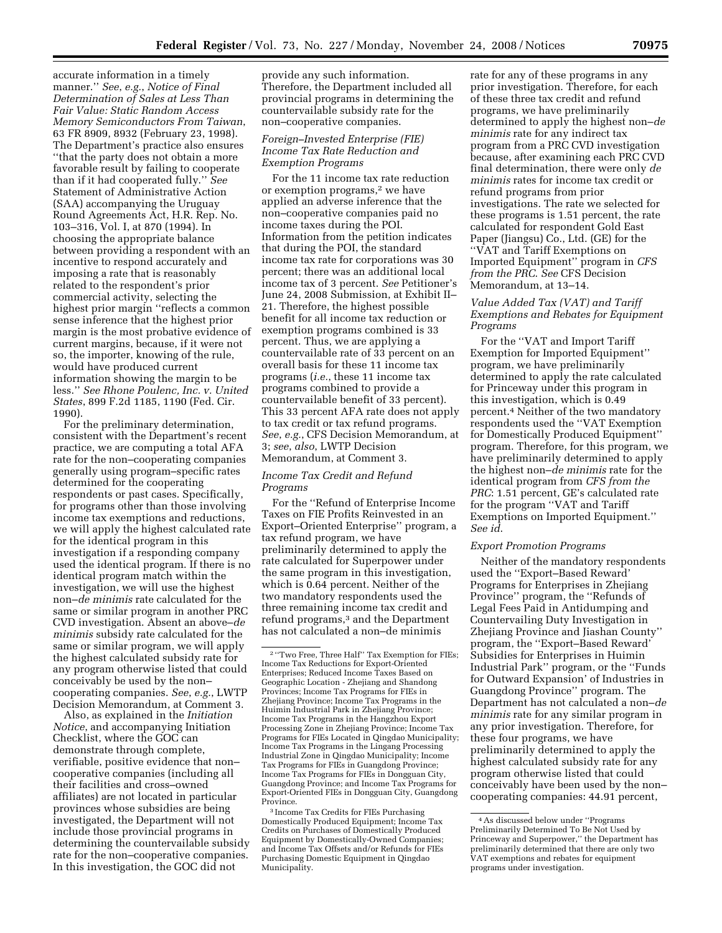accurate information in a timely manner.'' *See*, *e.g.*, *Notice of Final Determination of Sales at Less Than Fair Value: Static Random Access Memory Semiconductors From Taiwan*, 63 FR 8909, 8932 (February 23, 1998). The Department's practice also ensures ''that the party does not obtain a more favorable result by failing to cooperate than if it had cooperated fully.'' *See*  Statement of Administrative Action (SAA) accompanying the Uruguay Round Agreements Act, H.R. Rep. No. 103–316, Vol. I, at 870 (1994). In choosing the appropriate balance between providing a respondent with an incentive to respond accurately and imposing a rate that is reasonably related to the respondent's prior commercial activity, selecting the highest prior margin ''reflects a common sense inference that the highest prior margin is the most probative evidence of current margins, because, if it were not so, the importer, knowing of the rule, would have produced current information showing the margin to be less.'' *See Rhone Poulenc, Inc. v. United States*, 899 F.2d 1185, 1190 (Fed. Cir. 1990).

For the preliminary determination, consistent with the Department's recent practice, we are computing a total AFA rate for the non–cooperating companies generally using program–specific rates determined for the cooperating respondents or past cases. Specifically, for programs other than those involving income tax exemptions and reductions, we will apply the highest calculated rate for the identical program in this investigation if a responding company used the identical program. If there is no identical program match within the investigation, we will use the highest non–*de minimis* rate calculated for the same or similar program in another PRC CVD investigation. Absent an above–*de minimis* subsidy rate calculated for the same or similar program, we will apply the highest calculated subsidy rate for any program otherwise listed that could conceivably be used by the non– cooperating companies. *See*, *e.g.*, LWTP Decision Memorandum, at Comment 3.

Also, as explained in the *Initiation Notice*, and accompanying Initiation Checklist, where the GOC can demonstrate through complete, verifiable, positive evidence that non– cooperative companies (including all their facilities and cross–owned affiliates) are not located in particular provinces whose subsidies are being investigated, the Department will not include those provincial programs in determining the countervailable subsidy rate for the non–cooperative companies. In this investigation, the GOC did not

provide any such information. Therefore, the Department included all provincial programs in determining the countervailable subsidy rate for the non–cooperative companies.

# *Foreign–Invested Enterprise (FIE) Income Tax Rate Reduction and Exemption Programs*

For the 11 income tax rate reduction or exemption programs,2 we have applied an adverse inference that the non–cooperative companies paid no income taxes during the POI. Information from the petition indicates that during the POI, the standard income tax rate for corporations was 30 percent; there was an additional local income tax of 3 percent. *See* Petitioner's June 24, 2008 Submission, at Exhibit II– 21. Therefore, the highest possible benefit for all income tax reduction or exemption programs combined is 33 percent. Thus, we are applying a countervailable rate of 33 percent on an overall basis for these 11 income tax programs (*i.e.*, these 11 income tax programs combined to provide a countervailable benefit of 33 percent). This 33 percent AFA rate does not apply to tax credit or tax refund programs. *See*, *e.g.*, CFS Decision Memorandum, at 3; *see*, *also*, LWTP Decision Memorandum, at Comment 3.

# *Income Tax Credit and Refund Programs*

For the ''Refund of Enterprise Income Taxes on FIE Profits Reinvested in an Export–Oriented Enterprise'' program, a tax refund program, we have preliminarily determined to apply the rate calculated for Superpower under the same program in this investigation, which is 0.64 percent. Neither of the two mandatory respondents used the three remaining income tax credit and refund programs,3 and the Department has not calculated a non–de minimis

<sup>3</sup> Income Tax Credits for FIEs Purchasing Domestically Produced Equipment; Income Tax Credits on Purchases of Domestically Produced Equipment by Domestically-Owned Companies; and Income Tax Offsets and/or Refunds for FIEs Purchasing Domestic Equipment in Qingdao Municipality.

rate for any of these programs in any prior investigation. Therefore, for each of these three tax credit and refund programs, we have preliminarily determined to apply the highest non–*de minimis* rate for any indirect tax program from a PRC CVD investigation because, after examining each PRC CVD final determination, there were only *de minimis* rates for income tax credit or refund programs from prior investigations. The rate we selected for these programs is 1.51 percent, the rate calculated for respondent Gold East Paper (Jiangsu) Co., Ltd. (GE) for the ''VAT and Tariff Exemptions on Imported Equipment'' program in *CFS from the PRC*. *See* CFS Decision Memorandum, at 13–14.

# *Value Added Tax (VAT) and Tariff Exemptions and Rebates for Equipment Programs*

For the ''VAT and Import Tariff Exemption for Imported Equipment'' program, we have preliminarily determined to apply the rate calculated for Princeway under this program in this investigation, which is 0.49 percent.4 Neither of the two mandatory respondents used the ''VAT Exemption for Domestically Produced Equipment'' program. Therefore, for this program, we have preliminarily determined to apply the highest non–*de minimis* rate for the identical program from *CFS from the PRC*: 1.51 percent, GE's calculated rate for the program ''VAT and Tariff Exemptions on Imported Equipment.'' *See id*.

#### *Export Promotion Programs*

Neither of the mandatory respondents used the ''Export–Based Reward' Programs for Enterprises in Zhejiang Province'' program, the ''Refunds of Legal Fees Paid in Antidumping and Countervailing Duty Investigation in Zhejiang Province and Jiashan County'' program, the ''Export–Based Reward' Subsidies for Enterprises in Huimin Industrial Park'' program, or the ''Funds for Outward Expansion' of Industries in Guangdong Province'' program. The Department has not calculated a non–*de minimis* rate for any similar program in any prior investigation. Therefore, for these four programs, we have preliminarily determined to apply the highest calculated subsidy rate for any program otherwise listed that could conceivably have been used by the non– cooperating companies: 44.91 percent,

<sup>&</sup>lt;sup>2</sup> "Two Free, Three Half" Tax Exemption for FIEs; Income Tax Reductions for Export-Oriented Enterprises; Reduced Income Taxes Based on Geographic Location - Zhejiang and Shandong Provinces; Income Tax Programs for FIEs in Zhejiang Province; Income Tax Programs in the Huimin Industrial Park in Zhejiang Province; Income Tax Programs in the Hangzhou Export Processing Zone in Zhejiang Province; Income Tax Programs for FIEs Located in Qingdao Municipality; Income Tax Programs in the Lingang Processing Industrial Zone in Qingdao Municipality; Income Tax Programs for FIEs in Guangdong Province; Income Tax Programs for FIEs in Dongguan City, Guangdong Province; and Income Tax Programs for Export-Oriented FIEs in Dongguan City, Guangdong

<sup>4</sup>As discussed below under ''Programs Preliminarily Determined To Be Not Used by Princeway and Superpower,'' the Department has preliminarily determined that there are only two VAT exemptions and rebates for equipment programs under investigation.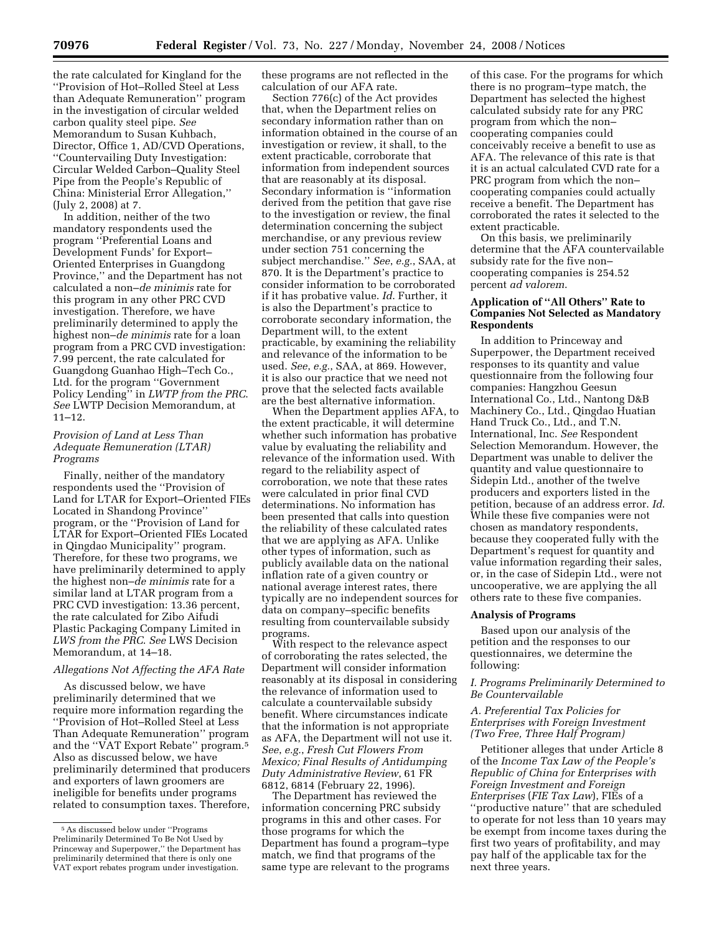the rate calculated for Kingland for the ''Provision of Hot–Rolled Steel at Less than Adequate Remuneration'' program in the investigation of circular welded carbon quality steel pipe. *See*  Memorandum to Susan Kuhbach, Director, Office 1, AD/CVD Operations, ''Countervailing Duty Investigation: Circular Welded Carbon–Quality Steel Pipe from the People's Republic of China: Ministerial Error Allegation,'' (July 2, 2008) at 7.

In addition, neither of the two mandatory respondents used the program ''Preferential Loans and Development Funds' for Export– Oriented Enterprises in Guangdong Province,'' and the Department has not calculated a non–*de minimis* rate for this program in any other PRC CVD investigation. Therefore, we have preliminarily determined to apply the highest non–*de minimis* rate for a loan program from a PRC CVD investigation: 7.99 percent, the rate calculated for Guangdong Guanhao High–Tech Co., Ltd. for the program ''Government Policy Lending'' in *LWTP from the PRC*. *See* LWTP Decision Memorandum, at 11–12.

### *Provision of Land at Less Than Adequate Remuneration (LTAR) Programs*

Finally, neither of the mandatory respondents used the ''Provision of Land for LTAR for Export–Oriented FIEs Located in Shandong Province'' program, or the ''Provision of Land for LTAR for Export–Oriented FIEs Located in Qingdao Municipality'' program. Therefore, for these two programs, we have preliminarily determined to apply the highest non–*de minimis* rate for a similar land at LTAR program from a PRC CVD investigation: 13.36 percent, the rate calculated for Zibo Aifudi Plastic Packaging Company Limited in *LWS from the PRC*. *See* LWS Decision Memorandum, at 14–18.

#### *Allegations Not Affecting the AFA Rate*

As discussed below, we have preliminarily determined that we require more information regarding the ''Provision of Hot–Rolled Steel at Less Than Adequate Remuneration'' program and the ''VAT Export Rebate'' program.5 Also as discussed below, we have preliminarily determined that producers and exporters of lawn groomers are ineligible for benefits under programs related to consumption taxes. Therefore,

these programs are not reflected in the calculation of our AFA rate.

Section 776(c) of the Act provides that, when the Department relies on secondary information rather than on information obtained in the course of an investigation or review, it shall, to the extent practicable, corroborate that information from independent sources that are reasonably at its disposal. Secondary information is ''information derived from the petition that gave rise to the investigation or review, the final determination concerning the subject merchandise, or any previous review under section 751 concerning the subject merchandise.'' *See*, *e.g.*, SAA, at 870. It is the Department's practice to consider information to be corroborated if it has probative value. *Id*. Further, it is also the Department's practice to corroborate secondary information, the Department will, to the extent practicable, by examining the reliability and relevance of the information to be used. *See*, *e.g.*, SAA, at 869. However, it is also our practice that we need not prove that the selected facts available are the best alternative information.

When the Department applies AFA, to the extent practicable, it will determine whether such information has probative value by evaluating the reliability and relevance of the information used. With regard to the reliability aspect of corroboration, we note that these rates were calculated in prior final CVD determinations. No information has been presented that calls into question the reliability of these calculated rates that we are applying as AFA. Unlike other types of information, such as publicly available data on the national inflation rate of a given country or national average interest rates, there typically are no independent sources for data on company–specific benefits resulting from countervailable subsidy programs.

With respect to the relevance aspect of corroborating the rates selected, the Department will consider information reasonably at its disposal in considering the relevance of information used to calculate a countervailable subsidy benefit. Where circumstances indicate that the information is not appropriate as AFA, the Department will not use it. *See*, *e.g.*, *Fresh Cut Flowers From Mexico; Final Results of Antidumping Duty Administrative Review*, 61 FR 6812, 6814 (February 22, 1996).

The Department has reviewed the information concerning PRC subsidy programs in this and other cases. For those programs for which the Department has found a program–type match, we find that programs of the same type are relevant to the programs of this case. For the programs for which there is no program–type match, the Department has selected the highest calculated subsidy rate for any PRC program from which the non– cooperating companies could conceivably receive a benefit to use as AFA. The relevance of this rate is that it is an actual calculated CVD rate for a PRC program from which the non– cooperating companies could actually receive a benefit. The Department has corroborated the rates it selected to the extent practicable.

On this basis, we preliminarily determine that the AFA countervailable subsidy rate for the five non– cooperating companies is 254.52 percent *ad valorem*.

## **Application of ''All Others'' Rate to Companies Not Selected as Mandatory Respondents**

In addition to Princeway and Superpower, the Department received responses to its quantity and value questionnaire from the following four companies: Hangzhou Geesun International Co., Ltd., Nantong D&B Machinery Co., Ltd., Qingdao Huatian Hand Truck Co., Ltd., and T.N. International, Inc. *See* Respondent Selection Memorandum. However, the Department was unable to deliver the quantity and value questionnaire to Sidepin Ltd., another of the twelve producers and exporters listed in the petition, because of an address error. *Id*. While these five companies were not chosen as mandatory respondents, because they cooperated fully with the Department's request for quantity and value information regarding their sales, or, in the case of Sidepin Ltd., were not uncooperative, we are applying the all others rate to these five companies.

#### **Analysis of Programs**

Based upon our analysis of the petition and the responses to our questionnaires, we determine the following:

#### *I. Programs Preliminarily Determined to Be Countervailable*

*A. Preferential Tax Policies for Enterprises with Foreign Investment (Two Free, Three Half Program)* 

Petitioner alleges that under Article 8 of the *Income Tax Law of the People's Republic of China for Enterprises with Foreign Investment and Foreign Enterprises* (*FIE Tax Law*), FIEs of a ''productive nature'' that are scheduled to operate for not less than 10 years may be exempt from income taxes during the first two years of profitability, and may pay half of the applicable tax for the next three years.

<sup>5</sup>As discussed below under ''Programs Preliminarily Determined To Be Not Used by Princeway and Superpower,'' the Department has preliminarily determined that there is only one VAT export rebates program under investigation.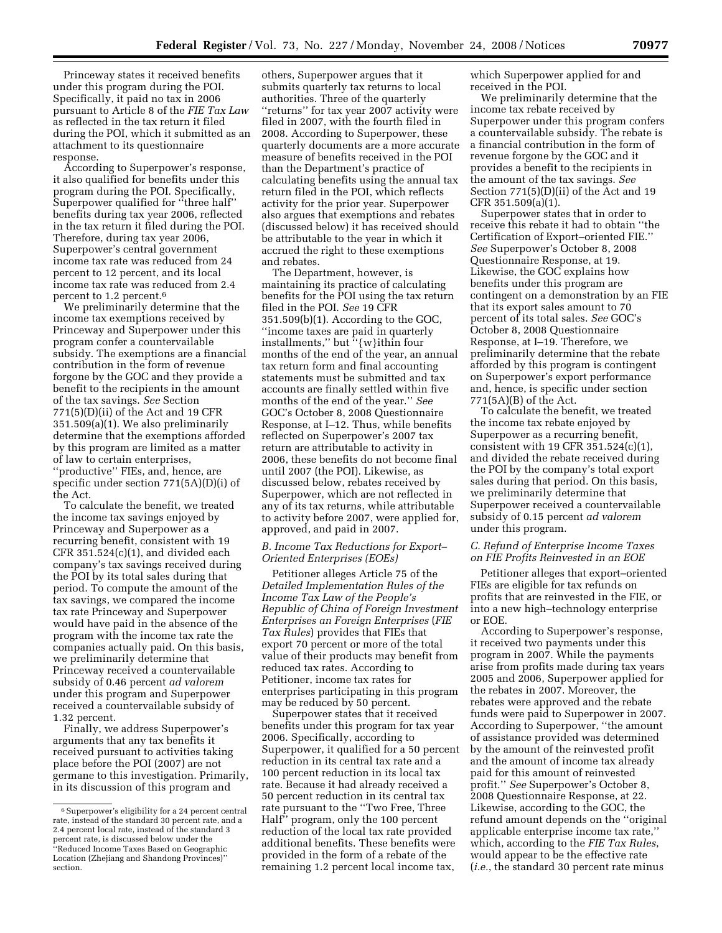Princeway states it received benefits under this program during the POI. Specifically, it paid no tax in 2006 pursuant to Article 8 of the *FIE Tax Law*  as reflected in the tax return it filed during the POI, which it submitted as an attachment to its questionnaire response.

According to Superpower's response, it also qualified for benefits under this program during the POI. Specifically, Superpower qualified for ''three half'' benefits during tax year 2006, reflected in the tax return it filed during the POI. Therefore, during tax year 2006, Superpower's central government income tax rate was reduced from 24 percent to 12 percent, and its local income tax rate was reduced from 2.4 percent to 1.2 percent.6

We preliminarily determine that the income tax exemptions received by Princeway and Superpower under this program confer a countervailable subsidy. The exemptions are a financial contribution in the form of revenue forgone by the GOC and they provide a benefit to the recipients in the amount of the tax savings. *See* Section  $771(5)(D)(ii)$  of the Act and 19 CFR 351.509(a)(1). We also preliminarily determine that the exemptions afforded by this program are limited as a matter of law to certain enterprises, ''productive'' FIEs, and, hence, are specific under section 771(5A)(D)(i) of the Act.

To calculate the benefit, we treated the income tax savings enjoyed by Princeway and Superpower as a recurring benefit, consistent with 19 CFR 351.524(c)(1), and divided each company's tax savings received during the POI by its total sales during that period. To compute the amount of the tax savings, we compared the income tax rate Princeway and Superpower would have paid in the absence of the program with the income tax rate the companies actually paid. On this basis, we preliminarily determine that Princeway received a countervailable subsidy of 0.46 percent *ad valorem*  under this program and Superpower received a countervailable subsidy of 1.32 percent.

Finally, we address Superpower's arguments that any tax benefits it received pursuant to activities taking place before the POI (2007) are not germane to this investigation. Primarily, in its discussion of this program and

others, Superpower argues that it submits quarterly tax returns to local authorities. Three of the quarterly ''returns'' for tax year 2007 activity were filed in 2007, with the fourth filed in 2008. According to Superpower, these quarterly documents are a more accurate measure of benefits received in the POI than the Department's practice of calculating benefits using the annual tax return filed in the POI, which reflects activity for the prior year. Superpower also argues that exemptions and rebates (discussed below) it has received should be attributable to the year in which it accrued the right to these exemptions and rebates.

The Department, however, is maintaining its practice of calculating benefits for the POI using the tax return filed in the POI. *See* 19 CFR 351.509(b)(1). According to the GOC, ''income taxes are paid in quarterly installments,'' but ''{w}ithin four months of the end of the year, an annual tax return form and final accounting statements must be submitted and tax accounts are finally settled within five months of the end of the year.'' *See*  GOC's October 8, 2008 Questionnaire Response, at I–12. Thus, while benefits reflected on Superpower's 2007 tax return are attributable to activity in 2006, these benefits do not become final until 2007 (the POI). Likewise, as discussed below, rebates received by Superpower, which are not reflected in any of its tax returns, while attributable to activity before 2007, were applied for, approved, and paid in 2007.

## *B. Income Tax Reductions for Export– Oriented Enterprises (EOEs)*

Petitioner alleges Article 75 of the *Detailed Implementation Rules of the Income Tax Law of the People's Republic of China of Foreign Investment Enterprises an Foreign Enterprises* (*FIE Tax Rules*) provides that FIEs that export 70 percent or more of the total value of their products may benefit from reduced tax rates. According to Petitioner, income tax rates for enterprises participating in this program may be reduced by 50 percent.

Superpower states that it received benefits under this program for tax year 2006. Specifically, according to Superpower, it qualified for a 50 percent reduction in its central tax rate and a 100 percent reduction in its local tax rate. Because it had already received a 50 percent reduction in its central tax rate pursuant to the ''Two Free, Three Half'' program, only the 100 percent reduction of the local tax rate provided additional benefits. These benefits were provided in the form of a rebate of the remaining 1.2 percent local income tax,

which Superpower applied for and received in the POI.

We preliminarily determine that the income tax rebate received by Superpower under this program confers a countervailable subsidy. The rebate is a financial contribution in the form of revenue forgone by the GOC and it provides a benefit to the recipients in the amount of the tax savings. *See*  Section 771(5)(D)(ii) of the Act and 19 CFR 351.509(a)(1).

Superpower states that in order to receive this rebate it had to obtain ''the Certification of Export–oriented FIE.'' *See* Superpower's October 8, 2008 Questionnaire Response, at 19. Likewise, the GOC explains how benefits under this program are contingent on a demonstration by an FIE that its export sales amount to 70 percent of its total sales. *See* GOC's October 8, 2008 Questionnaire Response, at I–19. Therefore, we preliminarily determine that the rebate afforded by this program is contingent on Superpower's export performance and, hence, is specific under section 771(5A)(B) of the Act.

To calculate the benefit, we treated the income tax rebate enjoyed by Superpower as a recurring benefit, consistent with 19 CFR 351.524(c)(1), and divided the rebate received during the POI by the company's total export sales during that period. On this basis, we preliminarily determine that Superpower received a countervailable subsidy of 0.15 percent *ad valorem*  under this program.

#### *C. Refund of Enterprise Income Taxes on FIE Profits Reinvested in an EOE*

Petitioner alleges that export–oriented FIEs are eligible for tax refunds on profits that are reinvested in the FIE, or into a new high–technology enterprise or EOE.

According to Superpower's response, it received two payments under this program in 2007. While the payments arise from profits made during tax years 2005 and 2006, Superpower applied for the rebates in 2007. Moreover, the rebates were approved and the rebate funds were paid to Superpower in 2007. According to Superpower, ''the amount of assistance provided was determined by the amount of the reinvested profit and the amount of income tax already paid for this amount of reinvested profit.'' *See* Superpower's October 8, 2008 Questionnaire Response, at 22. Likewise, according to the GOC, the refund amount depends on the ''original applicable enterprise income tax rate,'' which, according to the *FIE Tax Rules*, would appear to be the effective rate (*i.e.*, the standard 30 percent rate minus

<sup>6</sup>Superpower's eligibility for a 24 percent central rate, instead of the standard 30 percent rate, and a 2.4 percent local rate, instead of the standard 3 percent rate, is discussed below under the ''Reduced Income Taxes Based on Geographic Location (Zhejiang and Shandong Provinces)'' section.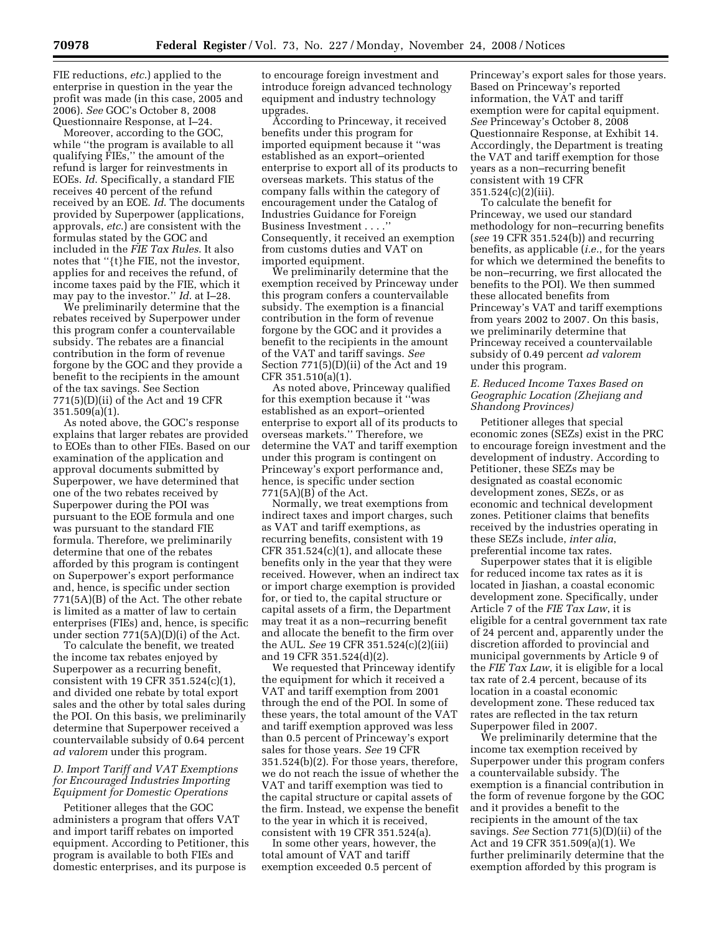FIE reductions, *etc*.) applied to the enterprise in question in the year the profit was made (in this case, 2005 and 2006). *See* GOC's October 8, 2008 Questionnaire Response, at I–24.

Moreover, according to the GOC, while ''the program is available to all qualifying FIEs,'' the amount of the refund is larger for reinvestments in EOEs. *Id*. Specifically, a standard FIE receives 40 percent of the refund received by an EOE. *Id*. The documents provided by Superpower (applications, approvals, *etc*.) are consistent with the formulas stated by the GOC and included in the *FIE Tax Rules*. It also notes that ''{t}he FIE, not the investor, applies for and receives the refund, of income taxes paid by the FIE, which it may pay to the investor.'' *Id*. at I–28.

We preliminarily determine that the rebates received by Superpower under this program confer a countervailable subsidy. The rebates are a financial contribution in the form of revenue forgone by the GOC and they provide a benefit to the recipients in the amount of the tax savings. See Section 771(5)(D)(ii) of the Act and 19 CFR 351.509(a)(1).

As noted above, the GOC's response explains that larger rebates are provided to EOEs than to other FIEs. Based on our examination of the application and approval documents submitted by Superpower, we have determined that one of the two rebates received by Superpower during the POI was pursuant to the EOE formula and one was pursuant to the standard FIE formula. Therefore, we preliminarily determine that one of the rebates afforded by this program is contingent on Superpower's export performance and, hence, is specific under section 771(5A)(B) of the Act. The other rebate is limited as a matter of law to certain enterprises (FIEs) and, hence, is specific under section 771(5A)(D)(i) of the Act.

To calculate the benefit, we treated the income tax rebates enjoyed by Superpower as a recurring benefit, consistent with 19 CFR 351.524(c)(1), and divided one rebate by total export sales and the other by total sales during the POI. On this basis, we preliminarily determine that Superpower received a countervailable subsidy of 0.64 percent *ad valorem* under this program.

# *D. Import Tariff and VAT Exemptions for Encouraged Industries Importing Equipment for Domestic Operations*

Petitioner alleges that the GOC administers a program that offers VAT and import tariff rebates on imported equipment. According to Petitioner, this program is available to both FIEs and domestic enterprises, and its purpose is

to encourage foreign investment and introduce foreign advanced technology equipment and industry technology upgrades.

According to Princeway, it received benefits under this program for imported equipment because it ''was established as an export–oriented enterprise to export all of its products to overseas markets. This status of the company falls within the category of encouragement under the Catalog of Industries Guidance for Foreign Business Investment . . . .'' Consequently, it received an exemption from customs duties and VAT on imported equipment.

We preliminarily determine that the exemption received by Princeway under this program confers a countervailable subsidy. The exemption is a financial contribution in the form of revenue forgone by the GOC and it provides a benefit to the recipients in the amount of the VAT and tariff savings. *See*  Section 771(5)(D)(ii) of the Act and 19 CFR 351.510(a)(1).

As noted above, Princeway qualified for this exemption because it ''was established as an export–oriented enterprise to export all of its products to overseas markets.'' Therefore, we determine the VAT and tariff exemption under this program is contingent on Princeway's export performance and, hence, is specific under section 771(5A)(B) of the Act.

Normally, we treat exemptions from indirect taxes and import charges, such as VAT and tariff exemptions, as recurring benefits, consistent with 19  $CFR 351.524(c)(1)$ , and allocate these benefits only in the year that they were received. However, when an indirect tax or import charge exemption is provided for, or tied to, the capital structure or capital assets of a firm, the Department may treat it as a non–recurring benefit and allocate the benefit to the firm over the AUL. *See* 19 CFR 351.524(c)(2)(iii) and 19 CFR 351.524(d)(2).

We requested that Princeway identify the equipment for which it received a VAT and tariff exemption from 2001 through the end of the POI. In some of these years, the total amount of the VAT and tariff exemption approved was less than 0.5 percent of Princeway's export sales for those years. *See* 19 CFR 351.524(b)(2). For those years, therefore, we do not reach the issue of whether the VAT and tariff exemption was tied to the capital structure or capital assets of the firm. Instead, we expense the benefit to the year in which it is received, consistent with 19 CFR 351.524(a).

In some other years, however, the total amount of VAT and tariff exemption exceeded 0.5 percent of

Princeway's export sales for those years. Based on Princeway's reported information, the VAT and tariff exemption were for capital equipment. *See* Princeway's October 8, 2008 Questionnaire Response, at Exhibit 14. Accordingly, the Department is treating the VAT and tariff exemption for those years as a non–recurring benefit consistent with 19 CFR 351.524(c)(2)(iii).

To calculate the benefit for Princeway, we used our standard methodology for non–recurring benefits (*see* 19 CFR 351.524(b)) and recurring benefits, as applicable (*i.e.*, for the years for which we determined the benefits to be non–recurring, we first allocated the benefits to the POI). We then summed these allocated benefits from Princeway's VAT and tariff exemptions from years 2002 to 2007. On this basis, we preliminarily determine that Princeway received a countervailable subsidy of 0.49 percent *ad valorem*  under this program.

# *E. Reduced Income Taxes Based on Geographic Location (Zhejiang and Shandong Provinces)*

Petitioner alleges that special economic zones (SEZs) exist in the PRC to encourage foreign investment and the development of industry. According to Petitioner, these SEZs may be designated as coastal economic development zones, SEZs, or as economic and technical development zones. Petitioner claims that benefits received by the industries operating in these SEZs include, *inter alia*, preferential income tax rates.

Superpower states that it is eligible for reduced income tax rates as it is located in Jiashan, a coastal economic development zone. Specifically, under Article 7 of the *FIE Tax Law*, it is eligible for a central government tax rate of 24 percent and, apparently under the discretion afforded to provincial and municipal governments by Article 9 of the *FIE Tax Law*, it is eligible for a local tax rate of 2.4 percent, because of its location in a coastal economic development zone. These reduced tax rates are reflected in the tax return Superpower filed in 2007.

We preliminarily determine that the income tax exemption received by Superpower under this program confers a countervailable subsidy. The exemption is a financial contribution in the form of revenue forgone by the GOC and it provides a benefit to the recipients in the amount of the tax savings. *See* Section 771(5)(D)(ii) of the Act and 19 CFR 351.509(a)(1). We further preliminarily determine that the exemption afforded by this program is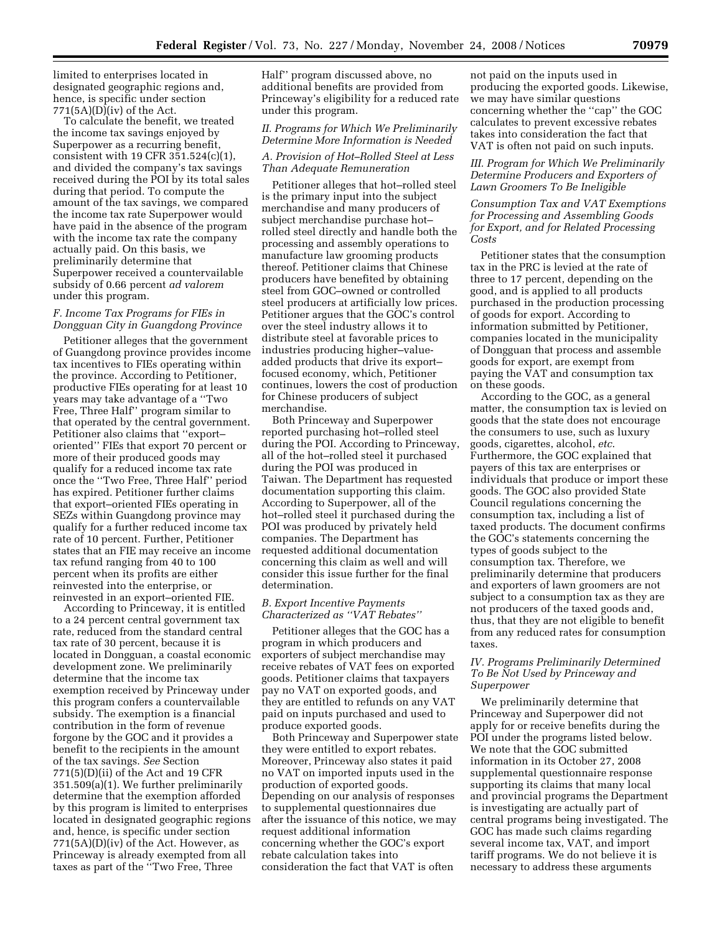limited to enterprises located in designated geographic regions and, hence, is specific under section 771(5A)(D)(iv) of the Act.

To calculate the benefit, we treated the income tax savings enjoyed by Superpower as a recurring benefit, consistent with 19 CFR 351.524(c)(1), and divided the company's tax savings received during the POI by its total sales during that period. To compute the amount of the tax savings, we compared the income tax rate Superpower would have paid in the absence of the program with the income tax rate the company actually paid. On this basis, we preliminarily determine that Superpower received a countervailable subsidy of 0.66 percent *ad valorem*  under this program.

### *F. Income Tax Programs for FIEs in Dongguan City in Guangdong Province*

Petitioner alleges that the government of Guangdong province provides income tax incentives to FIEs operating within the province. According to Petitioner, productive FIEs operating for at least 10 years may take advantage of a ''Two Free, Three Half'' program similar to that operated by the central government. Petitioner also claims that ''export– oriented'' FIEs that export 70 percent or more of their produced goods may qualify for a reduced income tax rate once the ''Two Free, Three Half'' period has expired. Petitioner further claims that export–oriented FIEs operating in SEZs within Guangdong province may qualify for a further reduced income tax rate of 10 percent. Further, Petitioner states that an FIE may receive an income tax refund ranging from 40 to 100 percent when its profits are either reinvested into the enterprise, or reinvested in an export–oriented FIE.

According to Princeway, it is entitled to a 24 percent central government tax rate, reduced from the standard central tax rate of 30 percent, because it is located in Dongguan, a coastal economic development zone. We preliminarily determine that the income tax exemption received by Princeway under this program confers a countervailable subsidy. The exemption is a financial contribution in the form of revenue forgone by the GOC and it provides a benefit to the recipients in the amount of the tax savings. *See* Section 771(5)(D)(ii) of the Act and 19 CFR 351.509(a)(1). We further preliminarily determine that the exemption afforded by this program is limited to enterprises located in designated geographic regions and, hence, is specific under section 771(5A)(D)(iv) of the Act. However, as Princeway is already exempted from all taxes as part of the ''Two Free, Three

Half'' program discussed above, no additional benefits are provided from Princeway's eligibility for a reduced rate under this program.

# *II. Programs for Which We Preliminarily Determine More Information is Needed A. Provision of Hot–Rolled Steel at Less Than Adequate Remuneration*

Petitioner alleges that hot–rolled steel is the primary input into the subject merchandise and many producers of subject merchandise purchase hot– rolled steel directly and handle both the processing and assembly operations to manufacture law grooming products thereof. Petitioner claims that Chinese producers have benefited by obtaining steel from GOC–owned or controlled steel producers at artificially low prices. Petitioner argues that the GOC's control over the steel industry allows it to distribute steel at favorable prices to industries producing higher–valueadded products that drive its export– focused economy, which, Petitioner continues, lowers the cost of production for Chinese producers of subject merchandise.

Both Princeway and Superpower reported purchasing hot–rolled steel during the POI. According to Princeway, all of the hot–rolled steel it purchased during the POI was produced in Taiwan. The Department has requested documentation supporting this claim. According to Superpower, all of the hot–rolled steel it purchased during the POI was produced by privately held companies. The Department has requested additional documentation concerning this claim as well and will consider this issue further for the final determination.

#### *B. Export Incentive Payments Characterized as ''VAT Rebates''*

Petitioner alleges that the GOC has a program in which producers and exporters of subject merchandise may receive rebates of VAT fees on exported goods. Petitioner claims that taxpayers pay no VAT on exported goods, and they are entitled to refunds on any VAT paid on inputs purchased and used to produce exported goods.

Both Princeway and Superpower state they were entitled to export rebates. Moreover, Princeway also states it paid no VAT on imported inputs used in the production of exported goods. Depending on our analysis of responses to supplemental questionnaires due after the issuance of this notice, we may request additional information concerning whether the GOC's export rebate calculation takes into consideration the fact that VAT is often

not paid on the inputs used in producing the exported goods. Likewise, we may have similar questions concerning whether the "cap" the GOC calculates to prevent excessive rebates takes into consideration the fact that VAT is often not paid on such inputs.

# *III. Program for Which We Preliminarily Determine Producers and Exporters of Lawn Groomers To Be Ineligible*

*Consumption Tax and VAT Exemptions for Processing and Assembling Goods for Export, and for Related Processing Costs* 

Petitioner states that the consumption tax in the PRC is levied at the rate of three to 17 percent, depending on the good, and is applied to all products purchased in the production processing of goods for export. According to information submitted by Petitioner, companies located in the municipality of Dongguan that process and assemble goods for export, are exempt from paying the VAT and consumption tax on these goods.

According to the GOC, as a general matter, the consumption tax is levied on goods that the state does not encourage the consumers to use, such as luxury goods, cigarettes, alcohol, *etc*. Furthermore, the GOC explained that payers of this tax are enterprises or individuals that produce or import these goods. The GOC also provided State Council regulations concerning the consumption tax, including a list of taxed products. The document confirms the GOC's statements concerning the types of goods subject to the consumption tax. Therefore, we preliminarily determine that producers and exporters of lawn groomers are not subject to a consumption tax as they are not producers of the taxed goods and, thus, that they are not eligible to benefit from any reduced rates for consumption taxes.

# *IV. Programs Preliminarily Determined To Be Not Used by Princeway and Superpower*

We preliminarily determine that Princeway and Superpower did not apply for or receive benefits during the POI under the programs listed below. We note that the GOC submitted information in its October 27, 2008 supplemental questionnaire response supporting its claims that many local and provincial programs the Department is investigating are actually part of central programs being investigated. The GOC has made such claims regarding several income tax, VAT, and import tariff programs. We do not believe it is necessary to address these arguments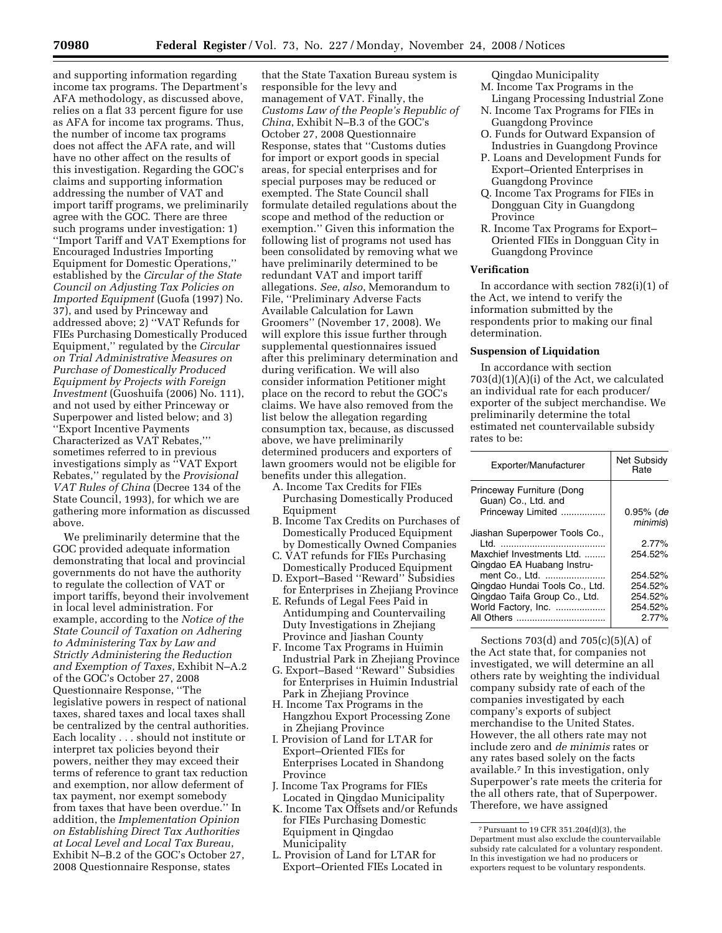and supporting information regarding income tax programs. The Department's AFA methodology, as discussed above, relies on a flat 33 percent figure for use as AFA for income tax programs. Thus, the number of income tax programs does not affect the AFA rate, and will have no other affect on the results of this investigation. Regarding the GOC's claims and supporting information addressing the number of VAT and import tariff programs, we preliminarily agree with the GOC. There are three such programs under investigation: 1) ''Import Tariff and VAT Exemptions for Encouraged Industries Importing Equipment for Domestic Operations,'' established by the *Circular of the State Council on Adjusting Tax Policies on Imported Equipment* (Guofa (1997) No. 37), and used by Princeway and addressed above; 2) ''VAT Refunds for FIEs Purchasing Domestically Produced Equipment,'' regulated by the *Circular on Trial Administrative Measures on Purchase of Domestically Produced Equipment by Projects with Foreign Investment* (Guoshuifa (2006) No. 111), and not used by either Princeway or Superpower and listed below; and 3) ''Export Incentive Payments Characterized as VAT Rebates,''' sometimes referred to in previous investigations simply as ''VAT Export Rebates,'' regulated by the *Provisional VAT Rules of China* (Decree 134 of the State Council, 1993), for which we are gathering more information as discussed above.

We preliminarily determine that the GOC provided adequate information demonstrating that local and provincial governments do not have the authority to regulate the collection of VAT or import tariffs, beyond their involvement in local level administration. For example, according to the *Notice of the State Council of Taxation on Adhering to Administering Tax by Law and Strictly Administering the Reduction and Exemption of Taxes*, Exhibit N–A.2 of the GOC's October 27, 2008 Questionnaire Response, ''The legislative powers in respect of national taxes, shared taxes and local taxes shall be centralized by the central authorities. Each locality . . . should not institute or interpret tax policies beyond their powers, neither they may exceed their terms of reference to grant tax reduction and exemption, nor allow deferment of tax payment, nor exempt somebody from taxes that have been overdue.'' In addition, the *Implementation Opinion on Establishing Direct Tax Authorities at Local Level and Local Tax Bureau*, Exhibit N–B.2 of the GOC's October 27, 2008 Questionnaire Response, states

that the State Taxation Bureau system is responsible for the levy and management of VAT. Finally, the *Customs Law of the People's Republic of China*, Exhibit N–B.3 of the GOC's October 27, 2008 Questionnaire Response, states that ''Customs duties for import or export goods in special areas, for special enterprises and for special purposes may be reduced or exempted. The State Council shall formulate detailed regulations about the scope and method of the reduction or exemption.'' Given this information the following list of programs not used has been consolidated by removing what we have preliminarily determined to be redundant VAT and import tariff allegations. *See*, *also*, Memorandum to File, ''Preliminary Adverse Facts Available Calculation for Lawn Groomers'' (November 17, 2008). We will explore this issue further through supplemental questionnaires issued after this preliminary determination and during verification. We will also consider information Petitioner might place on the record to rebut the GOC's claims. We have also removed from the list below the allegation regarding consumption tax, because, as discussed above, we have preliminarily determined producers and exporters of lawn groomers would not be eligible for benefits under this allegation.

A. Income Tax Credits for FIEs

- Purchasing Domestically Produced Equipment
- B. Income Tax Credits on Purchases of Domestically Produced Equipment by Domestically Owned Companies
- C. VAT refunds for FIEs Purchasing
- Domestically Produced Equipment D. Export–Based ''Reward'' Subsidies for Enterprises in Zhejiang Province
- E. Refunds of Legal Fees Paid in Antidumping and Countervailing Duty Investigations in Zhejiang Province and Jiashan County
- F. Income Tax Programs in Huimin Industrial Park in Zhejiang Province
- G. Export–Based ''Reward'' Subsidies for Enterprises in Huimin Industrial Park in Zhejiang Province
- H. Income Tax Programs in the Hangzhou Export Processing Zone in Zhejiang Province
- I. Provision of Land for LTAR for Export–Oriented FIEs for Enterprises Located in Shandong Province
- J. Income Tax Programs for FIEs Located in Qingdao Municipality
- K. Income Tax Offsets and/or Refunds for FIEs Purchasing Domestic Equipment in Qingdao Municipality
- L. Provision of Land for LTAR for Export–Oriented FIEs Located in

Qingdao Municipality

- M. Income Tax Programs in the Lingang Processing Industrial Zone
- N. Income Tax Programs for FIEs in Guangdong Province
- O. Funds for Outward Expansion of Industries in Guangdong Province
- P. Loans and Development Funds for Export–Oriented Enterprises in Guangdong Province
- Q. Income Tax Programs for FIEs in Dongguan City in Guangdong Province
- R. Income Tax Programs for Export– Oriented FIEs in Dongguan City in Guangdong Province

#### **Verification**

In accordance with section 782(i)(1) of the Act, we intend to verify the information submitted by the respondents prior to making our final determination.

#### **Suspension of Liquidation**

In accordance with section 703(d)(1)(A)(i) of the Act, we calculated an individual rate for each producer/ exporter of the subject merchandise. We preliminarily determine the total estimated net countervailable subsidy rates to be:

| Net Subsidy<br>Rate |
|---------------------|
| $0.95\%$ (de        |
| minimis)            |
|                     |
| 2.77%               |
| 254.52%             |
|                     |
| 254.52%             |
| 254.52%             |
| 254.52%             |
| 254.52%             |
| 2.77%               |
|                     |

Sections 703(d) and 705(c)(5)(A) of the Act state that, for companies not investigated, we will determine an all others rate by weighting the individual company subsidy rate of each of the companies investigated by each company's exports of subject merchandise to the United States. However, the all others rate may not include zero and *de minimis* rates or any rates based solely on the facts available.7 In this investigation, only Superpower's rate meets the criteria for the all others rate, that of Superpower. Therefore, we have assigned

<sup>7</sup>Pursuant to 19 CFR 351.204(d)(3), the Department must also exclude the countervailable subsidy rate calculated for a voluntary respondent. In this investigation we had no producers or exporters request to be voluntary respondents.